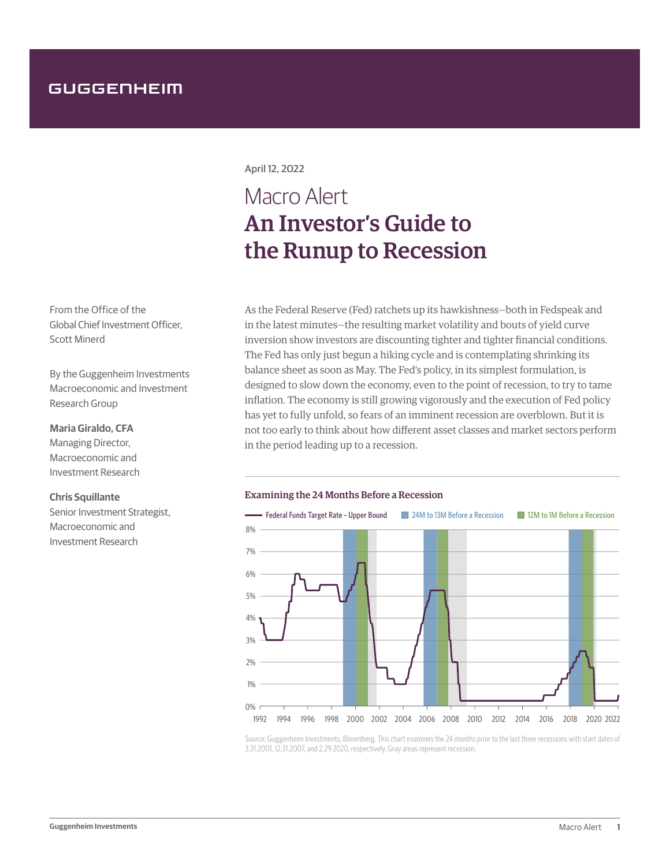## GUGGENHEIM

From the Office of the Global Chief Investment Officer, Scott Minerd

By the Guggenheim Investments Macroeconomic and Investment Research Group

### **Maria Giraldo, CFA**

Managing Director, Macroeconomic and Investment Research

### **Chris Squillante**

Senior Investment Strategist, Macroeconomic and Investment Research

April 12, 2022

# Macro Alert An Investor's Guide to the Runup to Recession

As the Federal Reserve (Fed) ratchets up its hawkishness—both in Fedspeak and in the latest minutes—the resulting market volatility and bouts of yield curve inversion show investors are discounting tighter and tighter financial conditions. The Fed has only just begun a hiking cycle and is contemplating shrinking its balance sheet as soon as May. The Fed's policy, in its simplest formulation, is designed to slow down the economy, even to the point of recession, to try to tame inflation. The economy is still growing vigorously and the execution of Fed policy has yet to fully unfold, so fears of an imminent recession are overblown. But it is not too early to think about how different asset classes and market sectors perform in the period leading up to a recession.

### Examining the 24 Months Before a Recession



Source: Guggenheim Investments, Bloomberg. This chart examines the 24 months prior to the last three recessions with start dates of 3.31.2001, 12.31.2007, and 2.29.2020, respectively. Gray areas represent recession.